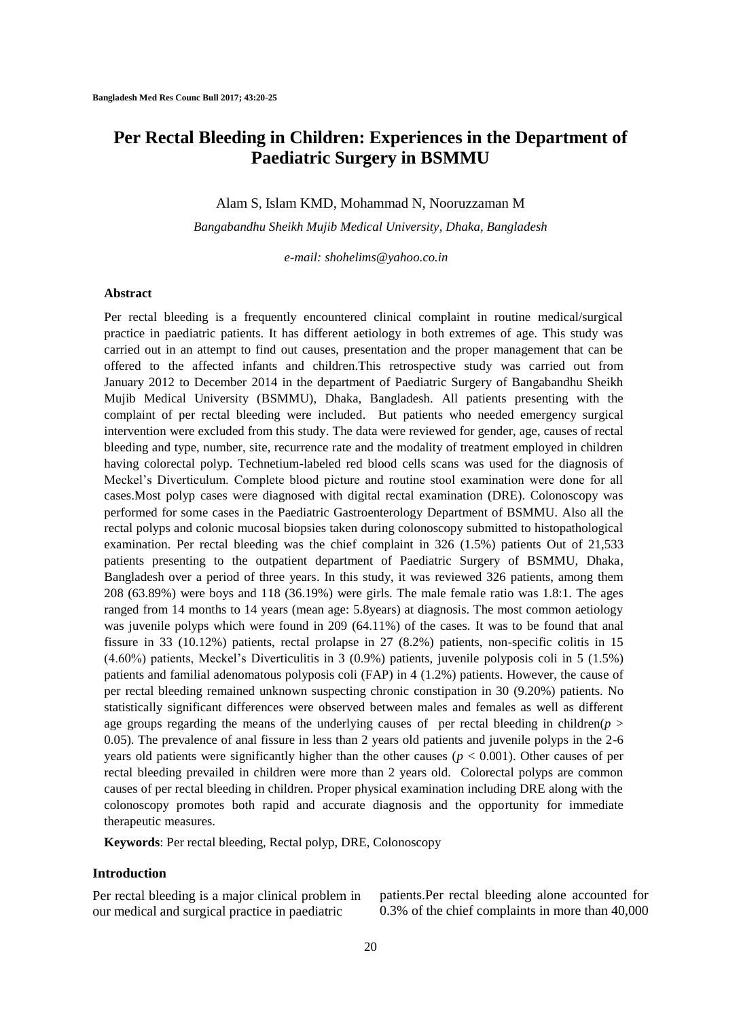# **Per Rectal Bleeding in Children: Experiences in the Department of Paediatric Surgery in BSMMU**

Alam S, Islam KMD, Mohammad N, Nooruzzaman M

*Bangabandhu Sheikh Mujib Medical University, Dhaka, Bangladesh*

 *e-mail: shohelims@yahoo.co.in*

#### **Abstract**

Per rectal bleeding is a frequently encountered clinical complaint in routine medical/surgical practice in paediatric patients. It has different aetiology in both extremes of age. This study was carried out in an attempt to find out causes, presentation and the proper management that can be offered to the affected infants and children.This retrospective study was carried out from January 2012 to December 2014 in the department of Paediatric Surgery of Bangabandhu Sheikh Mujib Medical University (BSMMU), Dhaka, Bangladesh. All patients presenting with the complaint of per rectal bleeding were included. But patients who needed emergency surgical intervention were excluded from this study. The data were reviewed for gender, age, causes of rectal bleeding and type, number, site, recurrence rate and the modality of treatment employed in children having colorectal polyp. Technetium-labeled red blood cells scans was used for the diagnosis of Meckel's Diverticulum. Complete blood picture and routine stool examination were done for all cases.Most polyp cases were diagnosed with digital rectal examination (DRE). Colonoscopy was performed for some cases in the Paediatric Gastroenterology Department of BSMMU. Also all the rectal polyps and colonic mucosal biopsies taken during colonoscopy submitted to histopathological examination. Per rectal bleeding was the chief complaint in 326 (1.5%) patients Out of 21,533 patients presenting to the outpatient department of Paediatric Surgery of BSMMU, Dhaka, Bangladesh over a period of three years. In this study, it was reviewed 326 patients, among them 208 (63.89%) were boys and 118 (36.19%) were girls. The male female ratio was 1.8:1. The ages ranged from 14 months to 14 years (mean age: 5.8years) at diagnosis. The most common aetiology was juvenile polyps which were found in 209 (64.11%) of the cases. It was to be found that anal fissure in 33 (10.12%) patients, rectal prolapse in 27 (8.2%) patients, non-specific colitis in 15 (4.60%) patients, Meckel's Diverticulitis in 3 (0.9%) patients, juvenile polyposis coli in 5 (1.5%) patients and familial adenomatous polyposis coli (FAP) in 4 (1.2%) patients. However, the cause of per rectal bleeding remained unknown suspecting chronic constipation in 30 (9.20%) patients. No statistically significant differences were observed between males and females as well as different age groups regarding the means of the underlying causes of per rectal bleeding in children( $p >$ 0.05). The prevalence of anal fissure in less than 2 years old patients and juvenile polyps in the 2-6 years old patients were significantly higher than the other causes ( $p < 0.001$ ). Other causes of per rectal bleeding prevailed in children were more than 2 years old. Colorectal polyps are common causes of per rectal bleeding in children. Proper physical examination including DRE along with the colonoscopy promotes both rapid and accurate diagnosis and the opportunity for immediate therapeutic measures.

**Keywords**: Per rectal bleeding, Rectal polyp, DRE, Colonoscopy

#### **Introduction**

Per rectal bleeding is a major clinical problem in our medical and surgical practice in paediatric

patients.Per rectal bleeding alone accounted for 0.3% of the chief complaints in more than 40,000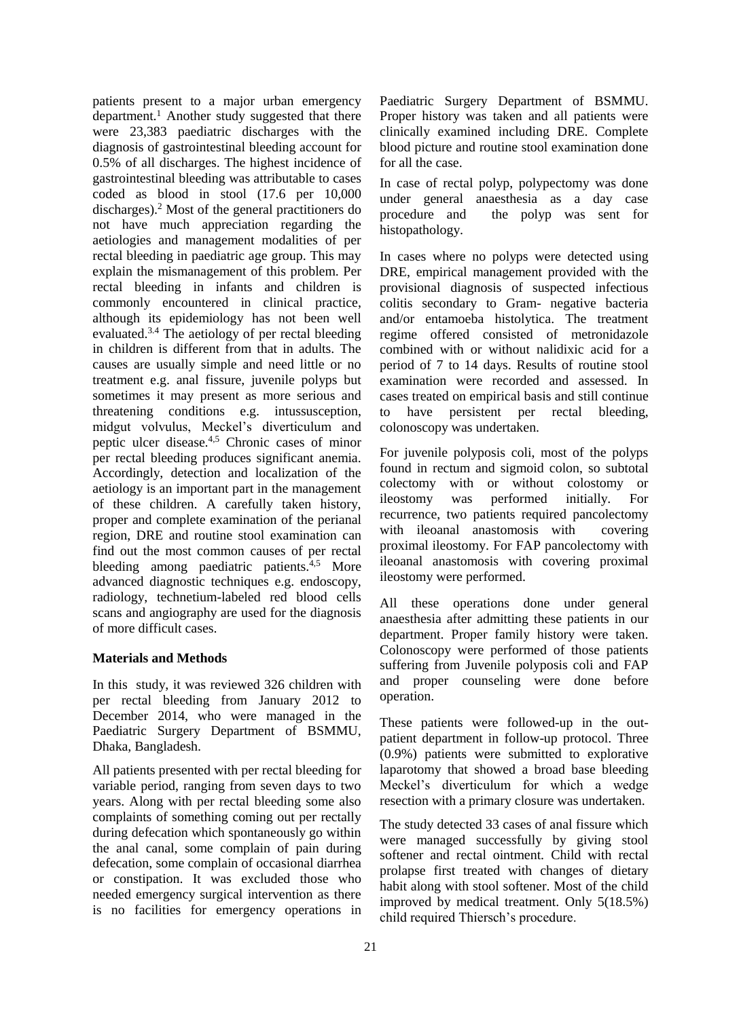patients present to a major urban emergency department.<sup>1</sup> Another study suggested that there were 23,383 paediatric discharges with the diagnosis of gastrointestinal bleeding account for 0.5% of all discharges. The highest incidence of gastrointestinal bleeding was attributable to cases coded as blood in stool (17.6 per 10,000 discharges).<sup>2</sup> Most of the general practitioners do not have much appreciation regarding the aetiologies and management modalities of per rectal bleeding in paediatric age group. This may explain the mismanagement of this problem. Per rectal bleeding in infants and children is commonly encountered in clinical practice, although its epidemiology has not been well evaluated.3.4 The aetiology of per rectal bleeding in children is different from that in adults. The causes are usually simple and need little or no treatment e.g. anal fissure, juvenile polyps but sometimes it may present as more serious and threatening conditions e.g. intussusception, midgut volvulus, Meckel's diverticulum and peptic ulcer disease.4,5 Chronic cases of minor per rectal bleeding produces significant anemia. Accordingly, detection and localization of the aetiology is an important part in the management of these children. A carefully taken history, proper and complete examination of the perianal region, DRE and routine stool examination can find out the most common causes of per rectal bleeding among paediatric patients.<sup>4,5</sup> More advanced diagnostic techniques e.g. endoscopy, radiology, technetium-labeled red blood cells scans and angiography are used for the diagnosis of more difficult cases.

## **Materials and Methods**

In this study, it was reviewed 326 children with per rectal bleeding from January 2012 to December 2014, who were managed in the Paediatric Surgery Department of BSMMU, Dhaka, Bangladesh.

All patients presented with per rectal bleeding for variable period, ranging from seven days to two years. Along with per rectal bleeding some also complaints of something coming out per rectally during defecation which spontaneously go within the anal canal, some complain of pain during defecation, some complain of occasional diarrhea or constipation. It was excluded those who needed emergency surgical intervention as there is no facilities for emergency operations in Paediatric Surgery Department of BSMMU. Proper history was taken and all patients were clinically examined including DRE. Complete blood picture and routine stool examination done for all the case.

In case of rectal polyp, polypectomy was done under general anaesthesia as a day case procedure and the polyp was sent for histopathology.

In cases where no polyps were detected using DRE, empirical management provided with the provisional diagnosis of suspected infectious colitis secondary to Gram- negative bacteria and/or entamoeba histolytica. The treatment regime offered consisted of metronidazole combined with or without nalidixic acid for a period of 7 to 14 days. Results of routine stool examination were recorded and assessed. In cases treated on empirical basis and still continue to have persistent per rectal bleeding, colonoscopy was undertaken.

For juvenile polyposis coli, most of the polyps found in rectum and sigmoid colon, so subtotal colectomy with or without colostomy or ileostomy was performed initially. For recurrence, two patients required pancolectomy with ileoanal anastomosis with covering proximal ileostomy. For FAP pancolectomy with ileoanal anastomosis with covering proximal ileostomy were performed.

All these operations done under general anaesthesia after admitting these patients in our department. Proper family history were taken. Colonoscopy were performed of those patients suffering from Juvenile polyposis coli and FAP and proper counseling were done before operation.

These patients were followed-up in the outpatient department in follow-up protocol. Three (0.9%) patients were submitted to explorative laparotomy that showed a broad base bleeding Meckel's diverticulum for which a wedge resection with a primary closure was undertaken.

The study detected 33 cases of anal fissure which were managed successfully by giving stool softener and rectal ointment. Child with rectal prolapse first treated with changes of dietary habit along with stool softener. Most of the child improved by medical treatment. Only 5(18.5%) child required Thiersch's procedure.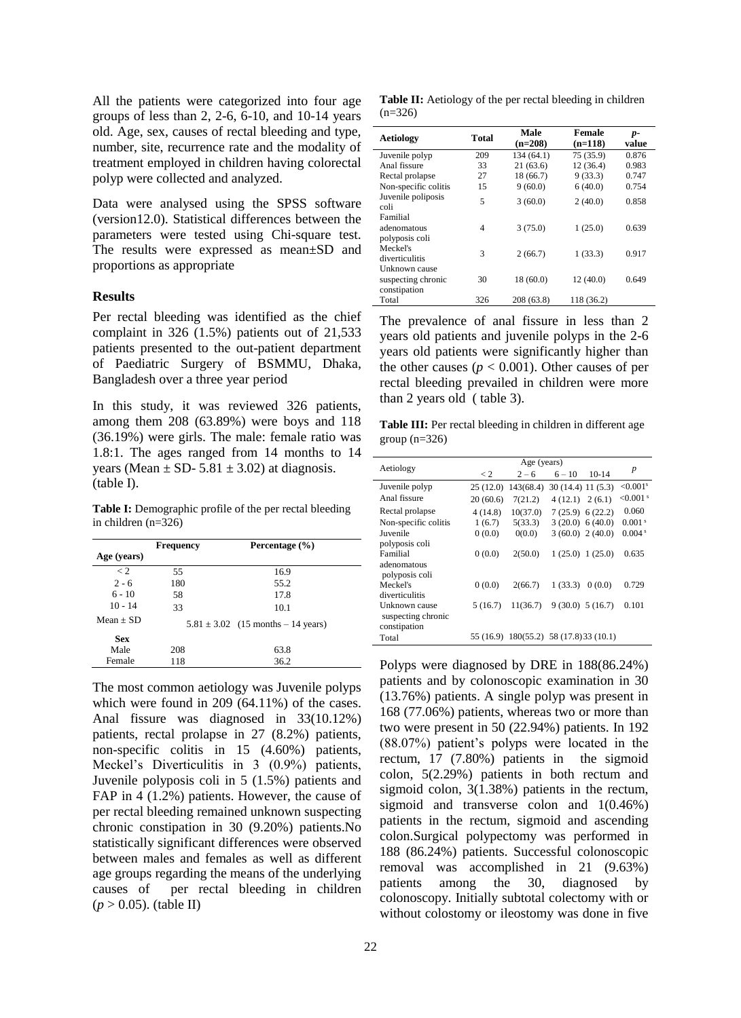All the patients were categorized into four age groups of less than 2, 2-6, 6-10, and 10-14 years old. Age, sex, causes of rectal bleeding and type, number, site, recurrence rate and the modality of treatment employed in children having colorectal polyp were collected and analyzed.

Data were analysed using the SPSS software (version12.0). Statistical differences between the parameters were tested using Chi-square test. The results were expressed as mean±SD and proportions as appropriate

#### **Results**

Per rectal bleeding was identified as the chief complaint in 326 (1.5%) patients out of 21,533 patients presented to the out-patient department of Paediatric Surgery of BSMMU, Dhaka, Bangladesh over a three year period

In this study, it was reviewed 326 patients, among them 208 (63.89%) were boys and 118 (36.19%) were girls. The male: female ratio was 1.8:1. The ages ranged from 14 months to 14 years (Mean  $\pm$  SD- 5.81  $\pm$  3.02) at diagnosis. (table I).

**Table I:** Demographic profile of the per rectal bleeding in children (n=326)

|             | Frequency | Percentage (%)                         |  |
|-------------|-----------|----------------------------------------|--|
| Age (years) |           |                                        |  |
| $\lt 2$     | 55        | 16.9                                   |  |
| $2 - 6$     | 180       | 55.2                                   |  |
| $6 - 10$    | 58        | 17.8                                   |  |
| $10 - 14$   | 33        | 10.1                                   |  |
| $Mean + SD$ |           | $5.81 \pm 3.02$ (15 months – 14 years) |  |
| <b>Sex</b>  |           |                                        |  |
| Male        | 208       | 63.8                                   |  |
| Female      | 118       | 36.2                                   |  |

The most common aetiology was Juvenile polyps which were found in 209 (64.11%) of the cases. Anal fissure was diagnosed in 33(10.12%) patients, rectal prolapse in 27 (8.2%) patients, non-specific colitis in 15 (4.60%) patients, Meckel's Diverticulitis in 3 (0.9%) patients, Juvenile polyposis coli in 5 (1.5%) patients and FAP in 4 (1.2%) patients. However, the cause of per rectal bleeding remained unknown suspecting chronic constipation in 30 (9.20%) patients.No statistically significant differences were observed between males and females as well as different age groups regarding the means of the underlying causes of per rectal bleeding in children (*p* > 0.05). (table II)

**Table II:** Aetiology of the per rectal bleeding in children  $(n=326)$ 

| <b>Aetiology</b>                                    | <b>Total</b>   | Male<br>$(n=208)$ | Female<br>$(n=118)$ | $p-$<br>value |
|-----------------------------------------------------|----------------|-------------------|---------------------|---------------|
| Juvenile polyp                                      | 209            | 134 (64.1)        | 75 (35.9)           | 0.876         |
| Anal fissure                                        | 33             | 21(63.6)          | 12 (36.4)           | 0.983         |
| Rectal prolapse                                     | 27             | 18 (66.7)         | 9(33.3)             | 0.747         |
| Non-specific colitis                                | 15             | 9(60.0)           | 6(40.0)             | 0.754         |
| Juvenile poliposis<br>coli                          | 5              | 3(60.0)           | 2(40.0)             | 0.858         |
| Familial<br>adenomatous<br>polyposis coli           | $\overline{4}$ | 3(75.0)           | 1(25.0)             | 0.639         |
| Meckel's<br>diverticulitis                          | 3              | 2(66.7)           | 1(33.3)             | 0.917         |
| Unknown cause<br>suspecting chronic<br>constipation | 30             | 18 (60.0)         | 12(40.0)            | 0.649         |
| Total                                               | 326            | 208 (63.8)        | 118 (36.2)          |               |

The prevalence of anal fissure in less than 2 years old patients and juvenile polyps in the 2-6 years old patients were significantly higher than the other causes  $(p < 0.001)$ . Other causes of per rectal bleeding prevailed in children were more than 2 years old ( table 3).

Table III: Per rectal bleeding in children in different age group  $(n=326)$ 

| Aetiology            | Age (years) |                                         |                    |         |                         |
|----------------------|-------------|-----------------------------------------|--------------------|---------|-------------------------|
|                      | $\lt 2$     | $2 - 6$                                 | $6 - 10$           | 10-14   | $\boldsymbol{p}$        |
| Juvenile polyp       | 25(12.0)    | 143(68.4)                               | 30(14.4) 11(5.3)   |         | ${<}0.001$ <sup>s</sup> |
| Anal fissure         | 20(60.6)    | 7(21.2)                                 | 4 (12.1)           | 2(6.1)  | $< 0.001$ s             |
| Rectal prolapse      | 4(14.8)     | 10(37.0)                                | $7(25.9)$ 6 (22.2) |         | 0.060                   |
| Non-specific colitis | 1(6.7)      | 5(33.3)                                 | 3(20.0) 6(40.0)    |         | 0.001 <sup>s</sup>      |
| Juvenile             | 0(0.0)      | 0(0.0)                                  | 3(60.0) 2(40.0)    |         | 0.004 <sup>s</sup>      |
| polyposis coli       |             |                                         |                    |         |                         |
| Familial             | 0(0.0)      | 2(50.0)                                 | 1(25.0)            | 1(25.0) | 0.635                   |
| adenomatous          |             |                                         |                    |         |                         |
| polyposis coli       |             |                                         |                    |         |                         |
| Meckel's             | 0(0.0)      | 2(66.7)                                 | 1(33.3)            | 0(0.0)  | 0.729                   |
| diverticulitis       |             |                                         |                    |         |                         |
| Unknown cause        | 5(16.7)     | 11(36.7)                                | 9(30.0) 5(16.7)    |         | 0.101                   |
| suspecting chronic   |             |                                         |                    |         |                         |
| constipation         |             |                                         |                    |         |                         |
| Total                |             | 55 (16.9) 180(55.2) 58 (17.8) 33 (10.1) |                    |         |                         |

Polyps were diagnosed by DRE in 188(86.24%) patients and by colonoscopic examination in 30 (13.76%) patients. A single polyp was present in 168 (77.06%) patients, whereas two or more than two were present in 50 (22.94%) patients. In 192 (88.07%) patient's polyps were located in the rectum, 17 (7.80%) patients in the sigmoid colon, 5(2.29%) patients in both rectum and sigmoid colon, 3(1.38%) patients in the rectum, sigmoid and transverse colon and 1(0.46%) patients in the rectum, sigmoid and ascending colon.Surgical polypectomy was performed in 188 (86.24%) patients. Successful colonoscopic removal was accomplished in 21 (9.63%) patients among the 30, diagnosed by colonoscopy. Initially subtotal colectomy with or without colostomy or ileostomy was done in five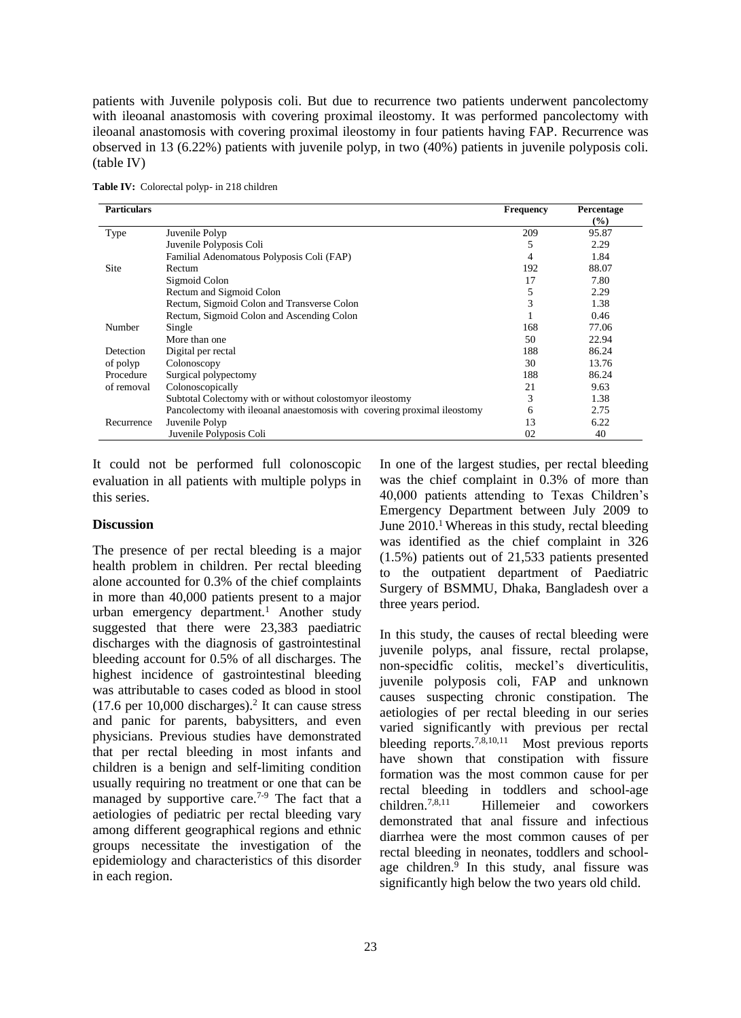patients with Juvenile polyposis coli. But due to recurrence two patients underwent pancolectomy with ileoanal anastomosis with covering proximal ileostomy. It was performed pancolectomy with ileoanal anastomosis with covering proximal ileostomy in four patients having FAP. Recurrence was observed in 13 (6.22%) patients with juvenile polyp, in two (40%) patients in juvenile polyposis coli. (table IV)

| <b>Particulars</b> |                                                                          | <b>Frequency</b> | Percentage<br>$(\%)$ |
|--------------------|--------------------------------------------------------------------------|------------------|----------------------|
| Type               | Juvenile Polyp                                                           | 209              | 95.87                |
|                    | Juvenile Polyposis Coli                                                  | 5                | 2.29                 |
|                    | Familial Adenomatous Polyposis Coli (FAP)                                | 4                | 1.84                 |
| Site               | Rectum                                                                   | 192              | 88.07                |
|                    | Sigmoid Colon                                                            | 17               | 7.80                 |
|                    | Rectum and Sigmoid Colon                                                 | 5                | 2.29                 |
|                    | Rectum, Sigmoid Colon and Transverse Colon                               | 3                | 1.38                 |
|                    | Rectum, Sigmoid Colon and Ascending Colon                                |                  | 0.46                 |
| Number             | Single                                                                   | 168              | 77.06                |
|                    | More than one                                                            | 50               | 22.94                |
| Detection          | Digital per rectal                                                       | 188              | 86.24                |
| of polyp           | Colonoscopy                                                              | 30               | 13.76                |
| Procedure          | Surgical polypectomy                                                     | 188              | 86.24                |
| of removal         | Colonoscopically                                                         | 21               | 9.63                 |
|                    | Subtotal Colectomy with or without colostomy or ileostomy                | 3                | 1.38                 |
|                    | Pancolectomy with ileoanal anaestomosis with covering proximal ileostomy | 6                | 2.75                 |
| Recurrence         | Juvenile Polyp                                                           | 13               | 6.22                 |
|                    | Juvenile Polyposis Coli                                                  | 02               | 40                   |

**Table IV:** Colorectal polyp- in 218 children

It could not be performed full colonoscopic evaluation in all patients with multiple polyps in this series.

#### **Discussion**

The presence of per rectal bleeding is a major health problem in children. Per rectal bleeding alone accounted for 0.3% of the chief complaints in more than 40,000 patients present to a major urban emergency department.<sup>1</sup> Another study suggested that there were 23,383 paediatric discharges with the diagnosis of gastrointestinal bleeding account for 0.5% of all discharges. The highest incidence of gastrointestinal bleeding was attributable to cases coded as blood in stool  $(17.6 \text{ per } 10,000 \text{ discharges}).$ <sup>2</sup> It can cause stress and panic for parents, babysitters, and even physicians. Previous studies have demonstrated that per rectal bleeding in most infants and children is a benign and self-limiting condition usually requiring no treatment or one that can be managed by supportive care.<sup>7-9</sup> The fact that a aetiologies of pediatric per rectal bleeding vary among different geographical regions and ethnic groups necessitate the investigation of the epidemiology and characteristics of this disorder in each region.

In one of the largest studies, per rectal bleeding was the chief complaint in 0.3% of more than 40,000 patients attending to Texas Children's Emergency Department between July 2009 to June  $2010<sup>1</sup>$  Whereas in this study, rectal bleeding was identified as the chief complaint in 326 (1.5%) patients out of 21,533 patients presented to the outpatient department of Paediatric Surgery of BSMMU, Dhaka, Bangladesh over a three years period.

In this study, the causes of rectal bleeding were juvenile polyps, anal fissure, rectal prolapse, non-specidfic colitis, meckel's diverticulitis, juvenile polyposis coli, FAP and unknown causes suspecting chronic constipation. The aetiologies of per rectal bleeding in our series varied significantly with previous per rectal bleeding reports.<sup>7,8,10,11</sup> Most previous reports have shown that constipation with fissure formation was the most common cause for per rectal bleeding in toddlers and school-age children.7,8,11 Hillemeier and coworkers demonstrated that anal fissure and infectious diarrhea were the most common causes of per rectal bleeding in neonates, toddlers and schoolage children.<sup>9</sup> In this study, anal fissure was significantly high below the two years old child.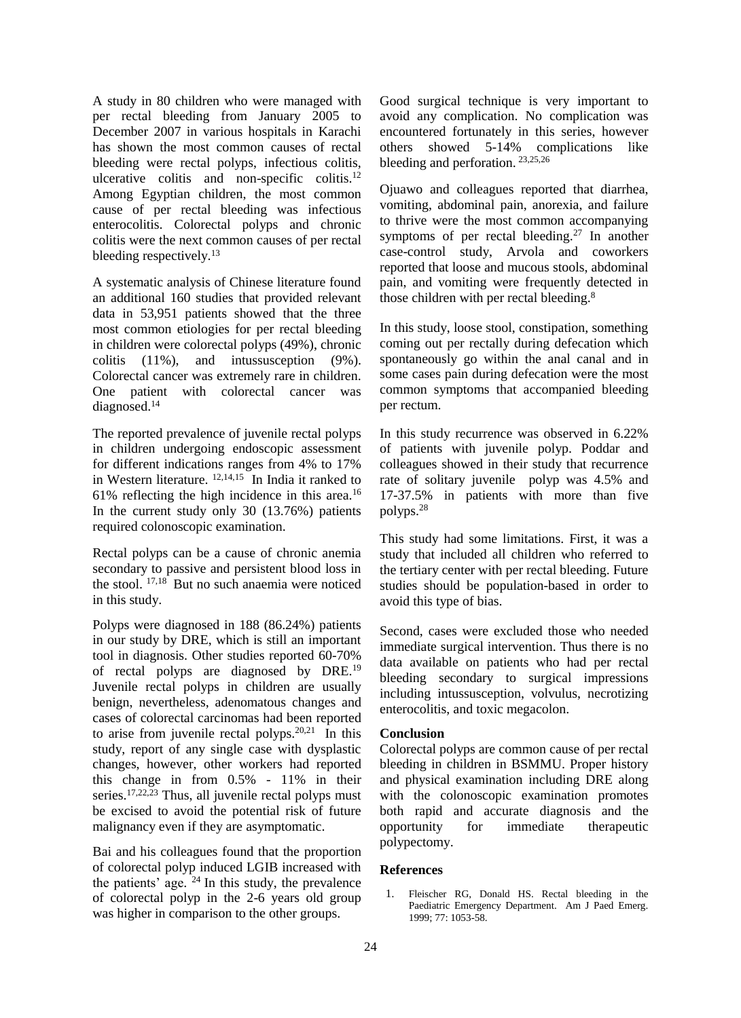A study in 80 children who were managed with per rectal bleeding from January 2005 to December 2007 in various hospitals in Karachi has shown the most common causes of rectal bleeding were rectal polyps, infectious colitis, ulcerative colitis and non-specific colitis.<sup>12</sup> Among Egyptian children, the most common cause of per rectal bleeding was infectious enterocolitis. Colorectal polyps and chronic colitis were the next common causes of per rectal bleeding respectively.<sup>13</sup>

A systematic analysis of Chinese literature found an additional 160 studies that provided relevant data in 53,951 patients showed that the three most common etiologies for per rectal bleeding in children were colorectal polyps (49%), chronic colitis (11%), and intussusception (9%). Colorectal cancer was extremely rare in children. One patient with colorectal cancer was diagnosed.<sup>14</sup>

The reported prevalence of juvenile rectal polyps in children undergoing endoscopic assessment for different indications ranges from 4% to 17% in Western literature. 12,14,15 In India it ranked to 61% reflecting the high incidence in this area.<sup>16</sup> In the current study only 30 (13.76%) patients required colonoscopic examination.

Rectal polyps can be a cause of chronic anemia secondary to passive and persistent blood loss in the stool. 17,18 But no such anaemia were noticed in this study.

Polyps were diagnosed in 188 (86.24%) patients in our study by DRE, which is still an important tool in diagnosis. Other studies reported 60-70% of rectal polyps are diagnosed by DRE.<sup>19</sup> Juvenile rectal polyps in children are usually benign, nevertheless, adenomatous changes and cases of colorectal carcinomas had been reported to arise from juvenile rectal polyps. $20,21$  In this study, report of any single case with dysplastic changes, however, other workers had reported this change in from 0.5% - 11% in their series.<sup>17,22,23</sup> Thus, all juvenile rectal polyps must be excised to avoid the potential risk of future malignancy even if they are asymptomatic.

Bai and his colleagues found that the proportion of colorectal polyp induced LGIB increased with the patients' age.  $24$  In this study, the prevalence of colorectal polyp in the 2-6 years old group was higher in comparison to the other groups.

Good surgical technique is very important to avoid any complication. No complication was encountered fortunately in this series, however others showed 5-14% complications like bleeding and perforation. 23,25,26

Ojuawo and colleagues reported that diarrhea, vomiting, abdominal pain, anorexia, and failure to thrive were the most common accompanying symptoms of per rectal bleeding.<sup>27</sup> In another case-control study, Arvola and coworkers reported that loose and mucous stools, abdominal pain, and vomiting were frequently detected in those children with per rectal bleeding.<sup>8</sup>

In this study, loose stool, constipation, something coming out per rectally during defecation which spontaneously go within the anal canal and in some cases pain during defecation were the most common symptoms that accompanied bleeding per rectum.

In this study recurrence was observed in 6.22% of patients with juvenile polyp. Poddar and colleagues showed in their study that recurrence rate of solitary juvenile polyp was 4.5% and 17-37.5% in patients with more than five polyps.<sup>28</sup>

This study had some limitations. First, it was a study that included all children who referred to the tertiary center with per rectal bleeding. Future studies should be population-based in order to avoid this type of bias.

Second, cases were excluded those who needed immediate surgical intervention. Thus there is no data available on patients who had per rectal bleeding secondary to surgical impressions including intussusception, volvulus, necrotizing enterocolitis, and toxic megacolon.

### **Conclusion**

Colorectal polyps are common cause of per rectal bleeding in children in BSMMU. Proper history and physical examination including DRE along with the colonoscopic examination promotes both rapid and accurate diagnosis and the opportunity for immediate therapeutic polypectomy.

#### **References**

1. Fleischer RG, Donald HS. Rectal bleeding in the Paediatric Emergency Department. Am J Paed Emerg. 1999; 77: 1053-58.